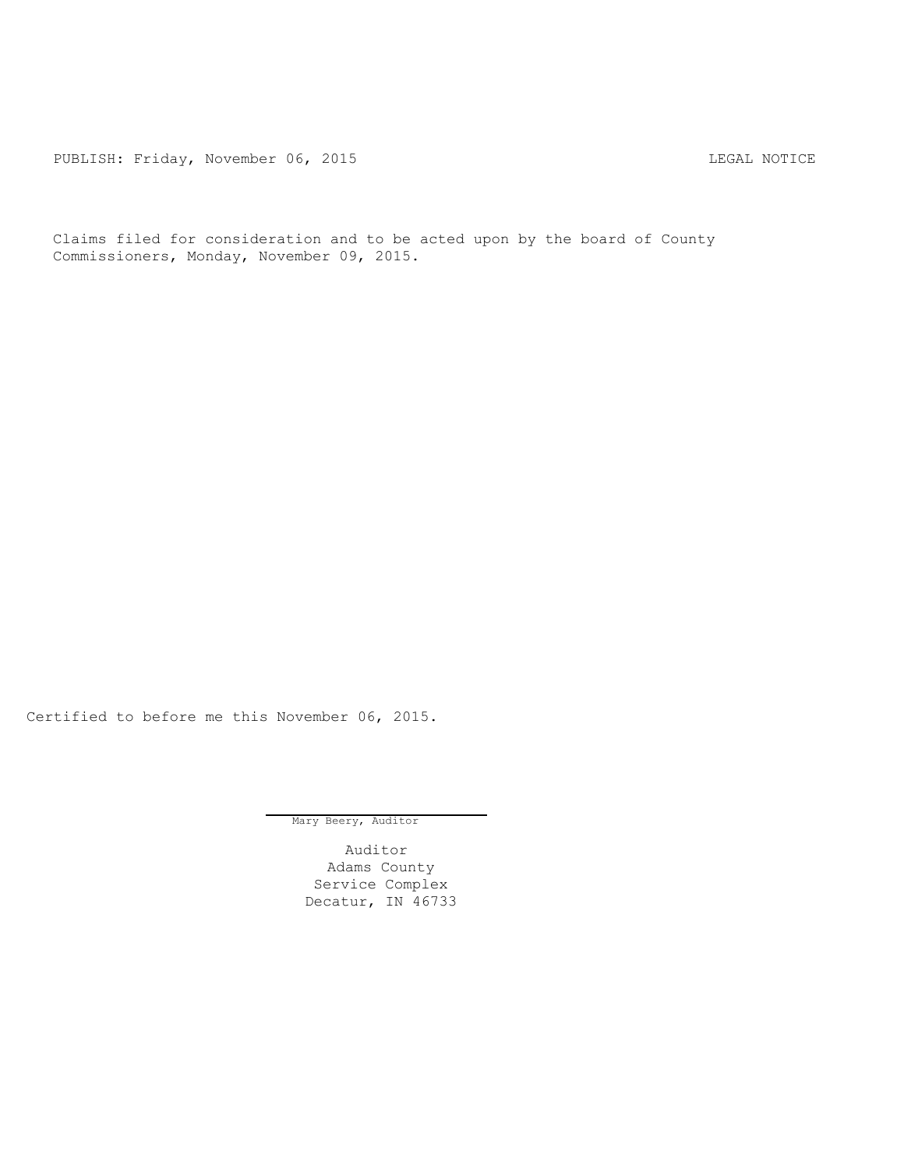PUBLISH: Friday, November 06, 2015 CHA CHANGE CONTROLLING MOTICE

Claims filed for consideration and to be acted upon by the board of County Commissioners, Monday, November 09, 2015.

Certified to before me this November 06, 2015.

Mary Beery, Auditor

Auditor Adams County Service Complex Decatur, IN 46733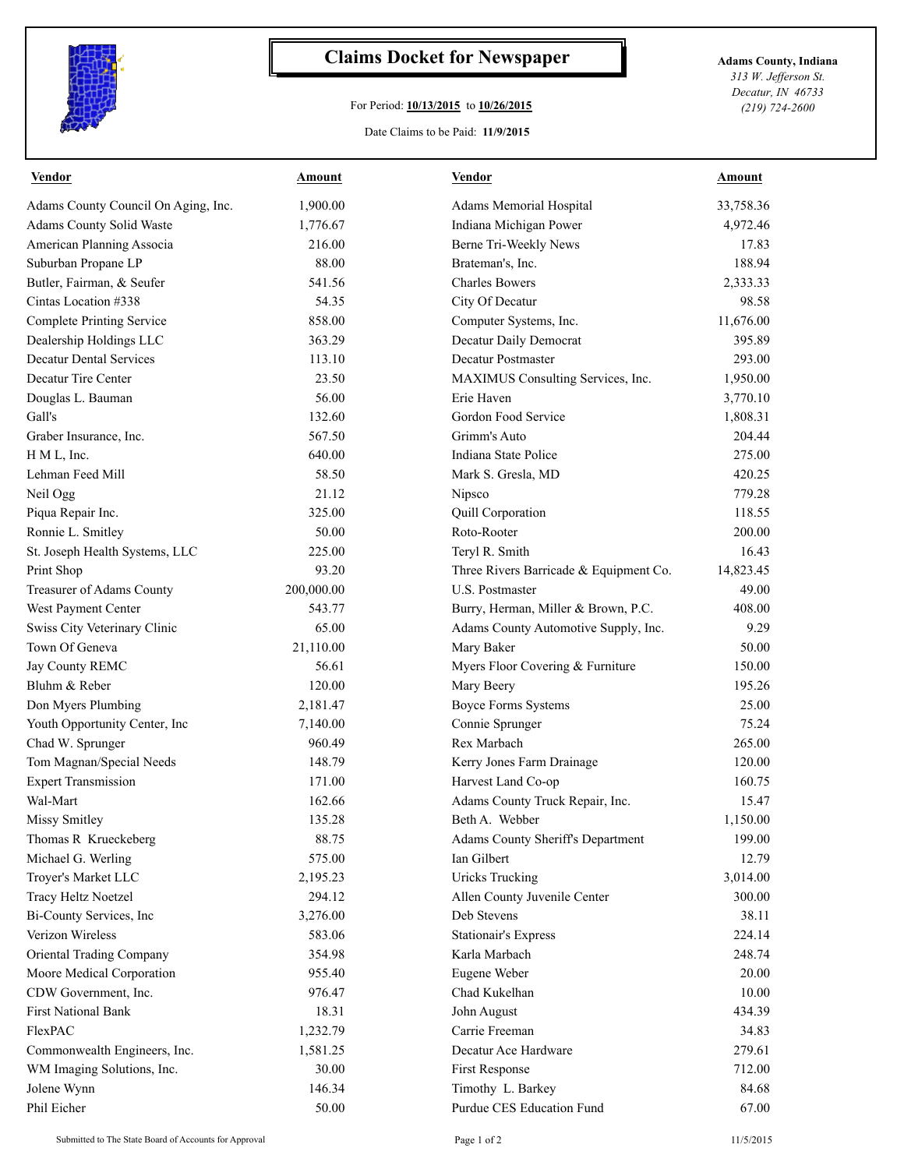

## **Claims Docket for Newspaper Adams County, Indiana**

## For Period: **10/13/2015** to **10/26/2015**

*313 W. Jefferson St. Decatur, IN 46733 (219) 724-2600*

Date Claims to be Paid: **11/9/2015**

| <b>Vendor</b>                       | <u>Amount</u> | <b>Vendor</b>                          | Amount    |
|-------------------------------------|---------------|----------------------------------------|-----------|
| Adams County Council On Aging, Inc. | 1,900.00      | Adams Memorial Hospital                | 33,758.36 |
| Adams County Solid Waste            | 1,776.67      | Indiana Michigan Power                 | 4,972.46  |
| American Planning Associa           | 216.00        | Berne Tri-Weekly News                  | 17.83     |
| Suburban Propane LP                 | 88.00         | Brateman's, Inc.                       | 188.94    |
| Butler, Fairman, & Seufer           | 541.56        | <b>Charles Bowers</b>                  | 2,333.33  |
| Cintas Location #338                | 54.35         | City Of Decatur                        | 98.58     |
| <b>Complete Printing Service</b>    | 858.00        | Computer Systems, Inc.                 | 11,676.00 |
| Dealership Holdings LLC             | 363.29        | Decatur Daily Democrat                 | 395.89    |
| <b>Decatur Dental Services</b>      | 113.10        | <b>Decatur Postmaster</b>              | 293.00    |
| Decatur Tire Center                 | 23.50         | MAXIMUS Consulting Services, Inc.      | 1,950.00  |
| Douglas L. Bauman                   | 56.00         | Erie Haven                             | 3,770.10  |
| Gall's                              | 132.60        | Gordon Food Service                    | 1,808.31  |
| Graber Insurance, Inc.              | 567.50        | Grimm's Auto                           | 204.44    |
| H M L, Inc.                         | 640.00        | Indiana State Police                   | 275.00    |
| Lehman Feed Mill                    | 58.50         | Mark S. Gresla, MD                     | 420.25    |
| Neil Ogg                            | 21.12         | Nipsco                                 | 779.28    |
| Piqua Repair Inc.                   | 325.00        | Quill Corporation                      | 118.55    |
| Ronnie L. Smitley                   | 50.00         | Roto-Rooter                            | 200.00    |
| St. Joseph Health Systems, LLC      | 225.00        | Teryl R. Smith                         | 16.43     |
| Print Shop                          | 93.20         | Three Rivers Barricade & Equipment Co. | 14,823.45 |
| Treasurer of Adams County           | 200,000.00    | <b>U.S. Postmaster</b>                 | 49.00     |
| West Payment Center                 | 543.77        | Burry, Herman, Miller & Brown, P.C.    | 408.00    |
| Swiss City Veterinary Clinic        | 65.00         | Adams County Automotive Supply, Inc.   | 9.29      |
| Town Of Geneva                      | 21,110.00     | Mary Baker                             | 50.00     |
| Jay County REMC                     | 56.61         | Myers Floor Covering & Furniture       | 150.00    |
| Bluhm & Reber                       | 120.00        | Mary Beery                             | 195.26    |
| Don Myers Plumbing                  | 2,181.47      | <b>Boyce Forms Systems</b>             | 25.00     |
| Youth Opportunity Center, Inc       | 7,140.00      | Connie Sprunger                        | 75.24     |
| Chad W. Sprunger                    | 960.49        | Rex Marbach                            | 265.00    |
| Tom Magnan/Special Needs            | 148.79        | Kerry Jones Farm Drainage              | 120.00    |
| <b>Expert Transmission</b>          | 171.00        | Harvest Land Co-op                     | 160.75    |
| Wal-Mart                            | 162.66        | Adams County Truck Repair, Inc.        | 15.47     |
| Missy Smitley                       | 135.28        | Beth A. Webber                         | 1,150.00  |
| Thomas R Krueckeberg                | 88.75         | Adams County Sheriff's Department      | 199.00    |
| Michael G. Werling                  | 575.00        | Ian Gilbert                            | 12.79     |
| Troyer's Market LLC                 | 2,195.23      | <b>Uricks Trucking</b>                 | 3,014.00  |
| Tracy Heltz Noetzel                 | 294.12        | Allen County Juvenile Center           | 300.00    |
| Bi-County Services, Inc             | 3,276.00      | Deb Stevens                            | 38.11     |
| Verizon Wireless                    | 583.06        | <b>Stationair's Express</b>            | 224.14    |
| Oriental Trading Company            | 354.98        | Karla Marbach                          | 248.74    |
| Moore Medical Corporation           | 955.40        | Eugene Weber                           | 20.00     |
| CDW Government, Inc.                | 976.47        | Chad Kukelhan                          | 10.00     |
| First National Bank                 | 18.31         | John August                            | 434.39    |
| FlexPAC                             | 1,232.79      | Carrie Freeman                         | 34.83     |
| Commonwealth Engineers, Inc.        | 1,581.25      | Decatur Ace Hardware                   | 279.61    |
| WM Imaging Solutions, Inc.          | 30.00         | First Response                         | 712.00    |
| Jolene Wynn                         | 146.34        | Timothy L. Barkey                      | 84.68     |
| Phil Eicher                         | 50.00         | Purdue CES Education Fund              | 67.00     |